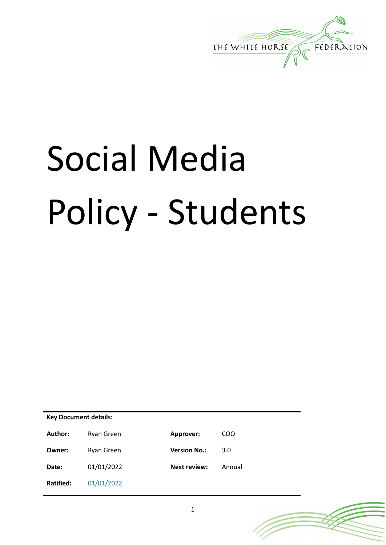

# Social Media Policy - Students

**Key Document details:** Author: Ryan Green **Approver: COO Owner:** Ryan Green **Version No.:** 3.0 **Date:** 01/01/2022 **Next review:** Annual **Ratified:** 01/01/2022

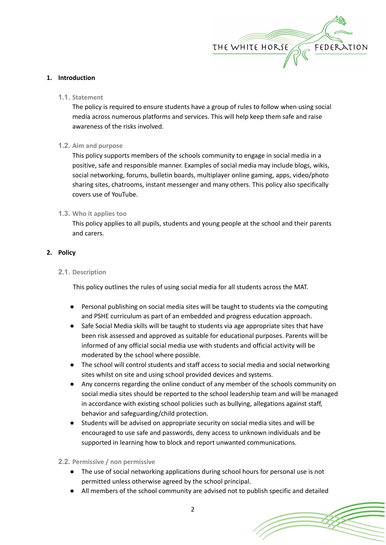

## **1. Introduction**

**1.1. Statement**

The policy is required to ensure students have a group of rules to follow when using social media across numerous platforms and services. This will help keep them safe and raise awareness of the risks involved.

**1.2. Aim and purpose**

This policy supports members of the schools community to engage in social media in a positive, safe and responsible manner. Examples of social media may include blogs, wikis, social networking, forums, bulletin boards, multiplayer online gaming, apps, video/photo sharing sites, chatrooms, instant messenger and many others. This policy also specifically covers use of YouTube.

## **1.3. Who it applies too**

This policy applies to all pupils, students and young people at the school and their parents and carers.

## **2. Policy**

## **2.1. Description**

This policy outlines the rules of using social media for all students across the MAT.

- Personal publishing on social media sites will be taught to students via the computing and PSHE curriculum as part of an embedded and progress education approach.
- Safe Social Media skills will be taught to students via age appropriate sites that have been risk assessed and approved as suitable for educational purposes. Parents will be informed of any official social media use with students and official activity will be moderated by the school where possible.
- The school will control students and staff access to social media and social networking sites whilst on site and using school provided devices and systems.
- Any concerns regarding the online conduct of any member of the schools community on social media sites should be reported to the school leadership team and will be managed in accordance with existing school policies such as bullying, allegations against staff, behavior and safeguarding/child protection.
- Students will be advised on appropriate security on social media sites and will be encouraged to use safe and passwords, deny access to unknown individuals and be supported in learning how to block and report unwanted communications.

## **2.2. Permissive / non permissive**

- The use of social networking applications during school hours for personal use is not permitted unless otherwise agreed by the school principal.
- All members of the school community are advised not to publish specific and detailed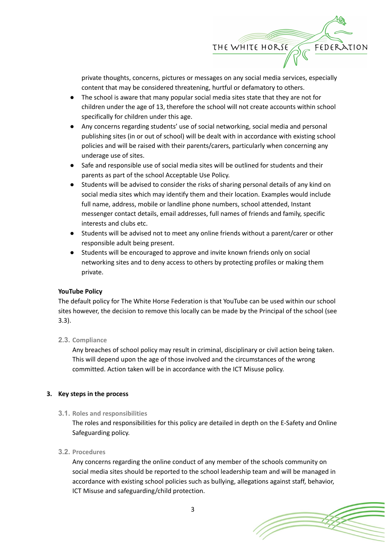

private thoughts, concerns, pictures or messages on any social media services, especially content that may be considered threatening, hurtful or defamatory to others.

- The school is aware that many popular social media sites state that they are not for children under the age of 13, therefore the school will not create accounts within school specifically for children under this age.
- Any concerns regarding students' use of social networking, social media and personal publishing sites (in or out of school) will be dealt with in accordance with existing school policies and will be raised with their parents/carers, particularly when concerning any underage use of sites.
- Safe and responsible use of social media sites will be outlined for students and their parents as part of the school Acceptable Use Policy.
- Students will be advised to consider the risks of sharing personal details of any kind on social media sites which may identify them and their location. Examples would include full name, address, mobile or landline phone numbers, school attended, Instant messenger contact details, email addresses, full names of friends and family, specific interests and clubs etc.
- Students will be advised not to meet any online friends without a parent/carer or other responsible adult being present.
- Students will be encouraged to approve and invite known friends only on social networking sites and to deny access to others by protecting profiles or making them private.

# **YouTube Policy**

The default policy for The White Horse Federation is that YouTube can be used within our school sites however, the decision to remove this locally can be made by the Principal of the school (see 3.3).

## **2.3. Compliance**

Any breaches of school policy may result in criminal, disciplinary or civil action being taken. This will depend upon the age of those involved and the circumstances of the wrong committed. Action taken will be in accordance with the ICT Misuse policy.

## **3. Key steps in the process**

## **3.1. Roles and responsibilities**

The roles and responsibilities for this policy are detailed in depth on the E-Safety and Online Safeguarding policy.

# **3.2. Procedures**

Any concerns regarding the online conduct of any member of the schools community on social media sites should be reported to the school leadership team and will be managed in accordance with existing school policies such as bullying, allegations against staff, behavior, ICT Misuse and safeguarding/child protection.

3